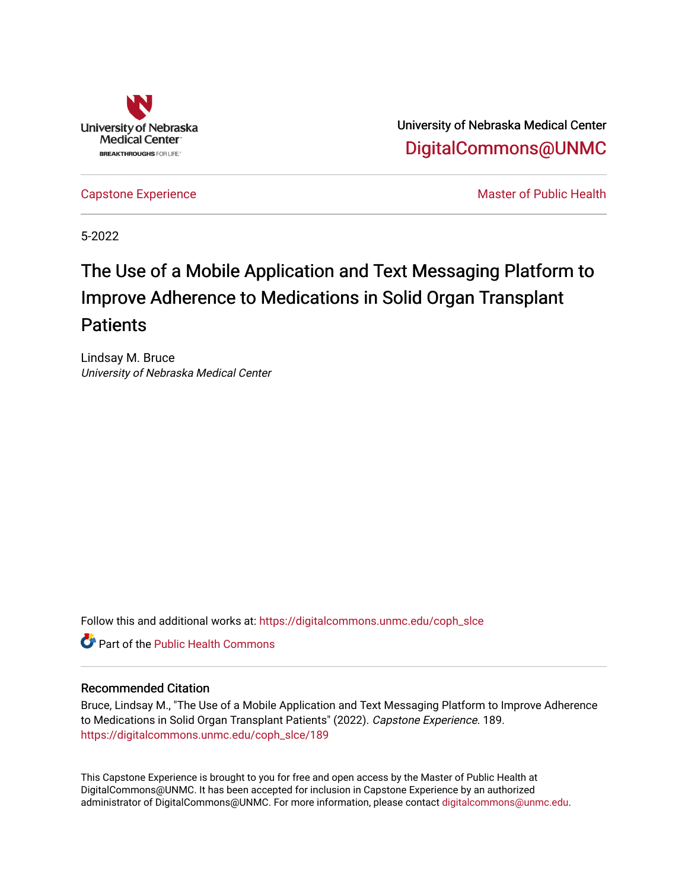

University of Nebraska Medical Center [DigitalCommons@UNMC](https://digitalcommons.unmc.edu/) 

[Capstone Experience](https://digitalcommons.unmc.edu/coph_slce) Master of Public Health

5-2022

# The Use of a Mobile Application and Text Messaging Platform to Improve Adherence to Medications in Solid Organ Transplant **Patients**

Lindsay M. Bruce University of Nebraska Medical Center

Follow this and additional works at: [https://digitalcommons.unmc.edu/coph\\_slce](https://digitalcommons.unmc.edu/coph_slce?utm_source=digitalcommons.unmc.edu%2Fcoph_slce%2F189&utm_medium=PDF&utm_campaign=PDFCoverPages) 

**C** Part of the Public Health Commons

# Recommended Citation

Bruce, Lindsay M., "The Use of a Mobile Application and Text Messaging Platform to Improve Adherence to Medications in Solid Organ Transplant Patients" (2022). Capstone Experience. 189. [https://digitalcommons.unmc.edu/coph\\_slce/189](https://digitalcommons.unmc.edu/coph_slce/189?utm_source=digitalcommons.unmc.edu%2Fcoph_slce%2F189&utm_medium=PDF&utm_campaign=PDFCoverPages) 

This Capstone Experience is brought to you for free and open access by the Master of Public Health at DigitalCommons@UNMC. It has been accepted for inclusion in Capstone Experience by an authorized administrator of DigitalCommons@UNMC. For more information, please contact [digitalcommons@unmc.edu](mailto:digitalcommons@unmc.edu).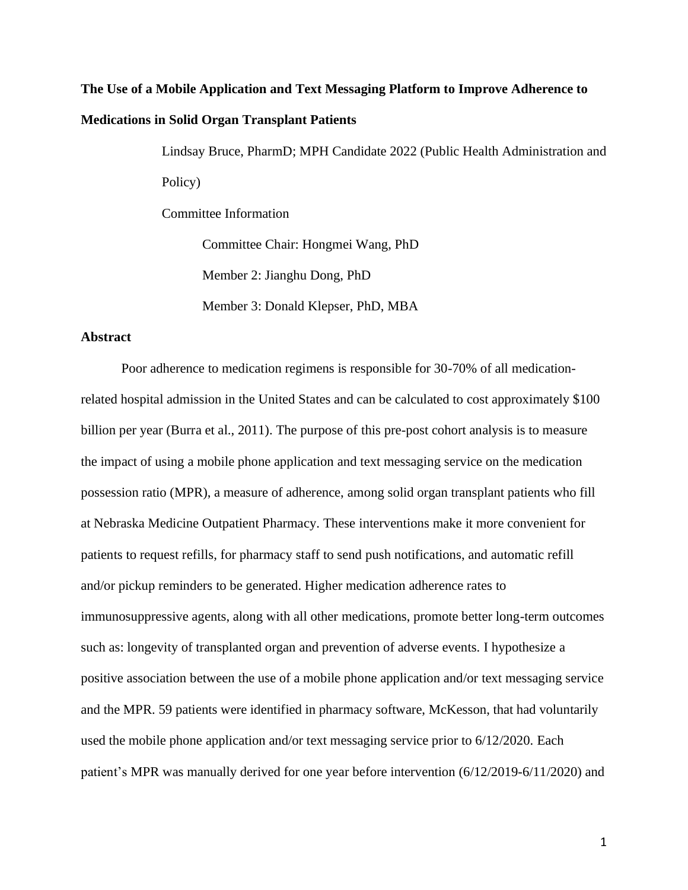# **The Use of a Mobile Application and Text Messaging Platform to Improve Adherence to Medications in Solid Organ Transplant Patients**

Lindsay Bruce, PharmD; MPH Candidate 2022 (Public Health Administration and Policy) Committee Information

Committee Chair: Hongmei Wang, PhD Member 2: Jianghu Dong, PhD

Member 3: Donald Klepser, PhD, MBA

# **Abstract**

Poor adherence to medication regimens is responsible for 30-70% of all medicationrelated hospital admission in the United States and can be calculated to cost approximately \$100 billion per year (Burra et al., 2011). The purpose of this pre-post cohort analysis is to measure the impact of using a mobile phone application and text messaging service on the medication possession ratio (MPR), a measure of adherence, among solid organ transplant patients who fill at Nebraska Medicine Outpatient Pharmacy. These interventions make it more convenient for patients to request refills, for pharmacy staff to send push notifications, and automatic refill and/or pickup reminders to be generated. Higher medication adherence rates to immunosuppressive agents, along with all other medications, promote better long-term outcomes such as: longevity of transplanted organ and prevention of adverse events. I hypothesize a positive association between the use of a mobile phone application and/or text messaging service and the MPR. 59 patients were identified in pharmacy software, McKesson, that had voluntarily used the mobile phone application and/or text messaging service prior to 6/12/2020. Each patient's MPR was manually derived for one year before intervention (6/12/2019-6/11/2020) and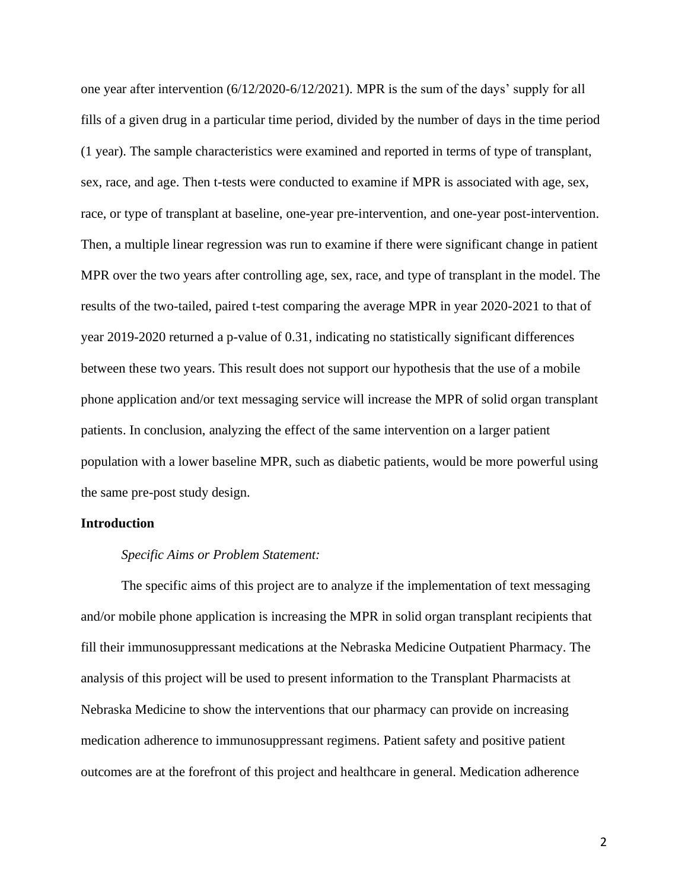one year after intervention (6/12/2020-6/12/2021). MPR is the sum of the days' supply for all fills of a given drug in a particular time period, divided by the number of days in the time period (1 year). The sample characteristics were examined and reported in terms of type of transplant, sex, race, and age. Then t-tests were conducted to examine if MPR is associated with age, sex, race, or type of transplant at baseline, one-year pre-intervention, and one-year post-intervention. Then, a multiple linear regression was run to examine if there were significant change in patient MPR over the two years after controlling age, sex, race, and type of transplant in the model. The results of the two-tailed, paired t-test comparing the average MPR in year 2020-2021 to that of year 2019-2020 returned a p-value of 0.31, indicating no statistically significant differences between these two years. This result does not support our hypothesis that the use of a mobile phone application and/or text messaging service will increase the MPR of solid organ transplant patients. In conclusion, analyzing the effect of the same intervention on a larger patient population with a lower baseline MPR, such as diabetic patients, would be more powerful using the same pre-post study design.

# **Introduction**

#### *Specific Aims or Problem Statement:*

The specific aims of this project are to analyze if the implementation of text messaging and/or mobile phone application is increasing the MPR in solid organ transplant recipients that fill their immunosuppressant medications at the Nebraska Medicine Outpatient Pharmacy. The analysis of this project will be used to present information to the Transplant Pharmacists at Nebraska Medicine to show the interventions that our pharmacy can provide on increasing medication adherence to immunosuppressant regimens. Patient safety and positive patient outcomes are at the forefront of this project and healthcare in general. Medication adherence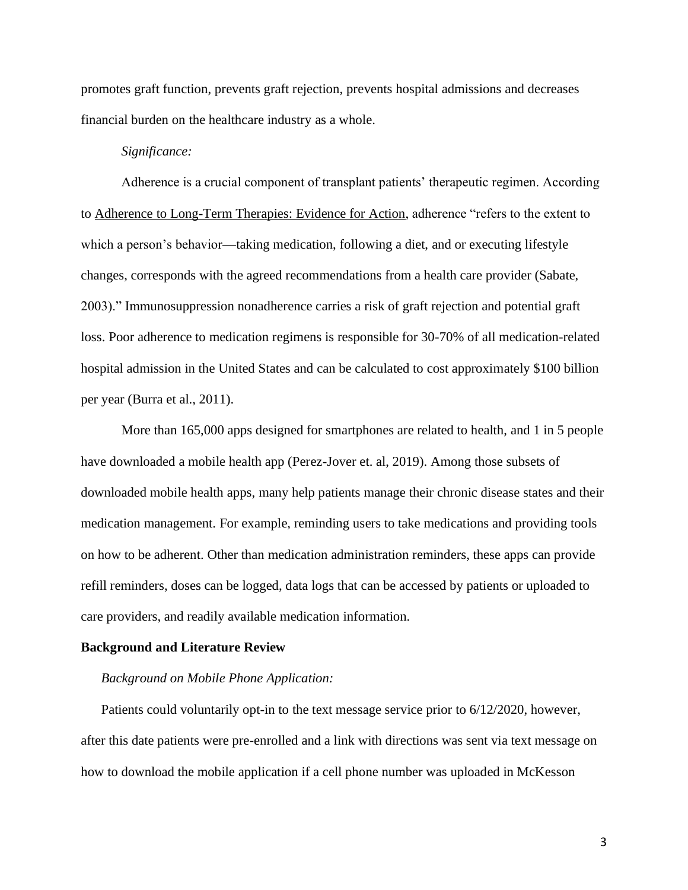promotes graft function, prevents graft rejection, prevents hospital admissions and decreases financial burden on the healthcare industry as a whole.

# *Significance:*

Adherence is a crucial component of transplant patients' therapeutic regimen. According to Adherence to Long-Term Therapies: Evidence for Action, adherence "refers to the extent to which a person's behavior—taking medication, following a diet, and or executing lifestyle changes, corresponds with the agreed recommendations from a health care provider (Sabate, 2003)." Immunosuppression nonadherence carries a risk of graft rejection and potential graft loss. Poor adherence to medication regimens is responsible for 30-70% of all medication-related hospital admission in the United States and can be calculated to cost approximately \$100 billion per year (Burra et al., 2011).

More than 165,000 apps designed for smartphones are related to health, and 1 in 5 people have downloaded a mobile health app (Perez-Jover et. al, 2019). Among those subsets of downloaded mobile health apps, many help patients manage their chronic disease states and their medication management. For example, reminding users to take medications and providing tools on how to be adherent. Other than medication administration reminders, these apps can provide refill reminders, doses can be logged, data logs that can be accessed by patients or uploaded to care providers, and readily available medication information.

### **Background and Literature Review**

#### *Background on Mobile Phone Application:*

Patients could voluntarily opt-in to the text message service prior to 6/12/2020, however, after this date patients were pre-enrolled and a link with directions was sent via text message on how to download the mobile application if a cell phone number was uploaded in McKesson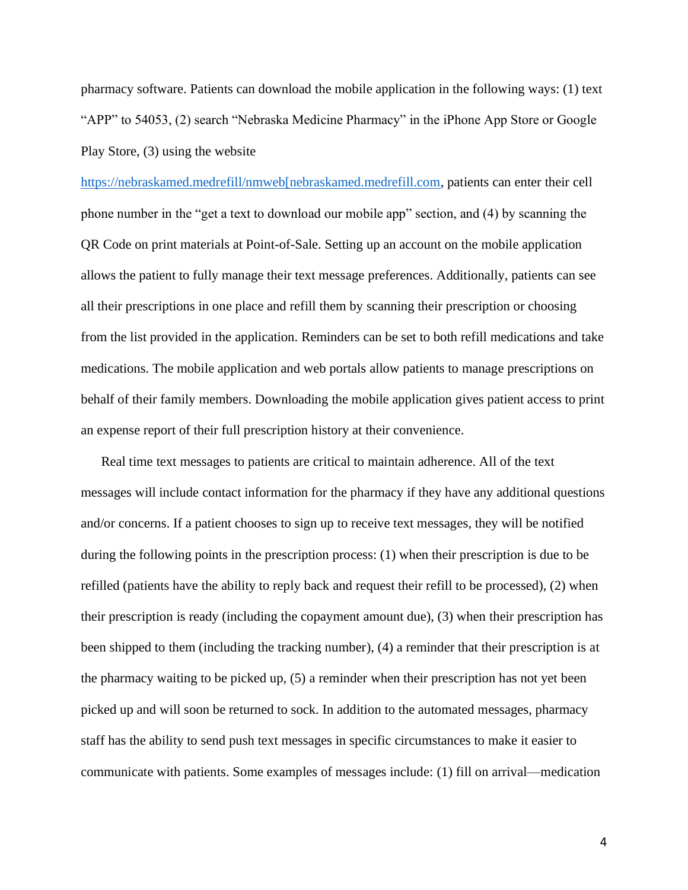pharmacy software. Patients can download the mobile application in the following ways: (1) text "APP" to 54053, (2) search "Nebraska Medicine Pharmacy" in the iPhone App Store or Google Play Store, (3) using the website

[https://nebraskamed.medrefill/nmweb\[nebraskamed.medrefill.com,](https://nebraskamed.medrefill/nmweb%5bnebraskamed.medrefill.com) patients can enter their cell phone number in the "get a text to download our mobile app" section, and (4) by scanning the QR Code on print materials at Point-of-Sale. Setting up an account on the mobile application allows the patient to fully manage their text message preferences. Additionally, patients can see all their prescriptions in one place and refill them by scanning their prescription or choosing from the list provided in the application. Reminders can be set to both refill medications and take medications. The mobile application and web portals allow patients to manage prescriptions on behalf of their family members. Downloading the mobile application gives patient access to print an expense report of their full prescription history at their convenience.

Real time text messages to patients are critical to maintain adherence. All of the text messages will include contact information for the pharmacy if they have any additional questions and/or concerns. If a patient chooses to sign up to receive text messages, they will be notified during the following points in the prescription process: (1) when their prescription is due to be refilled (patients have the ability to reply back and request their refill to be processed), (2) when their prescription is ready (including the copayment amount due), (3) when their prescription has been shipped to them (including the tracking number), (4) a reminder that their prescription is at the pharmacy waiting to be picked up, (5) a reminder when their prescription has not yet been picked up and will soon be returned to sock. In addition to the automated messages, pharmacy staff has the ability to send push text messages in specific circumstances to make it easier to communicate with patients. Some examples of messages include: (1) fill on arrival—medication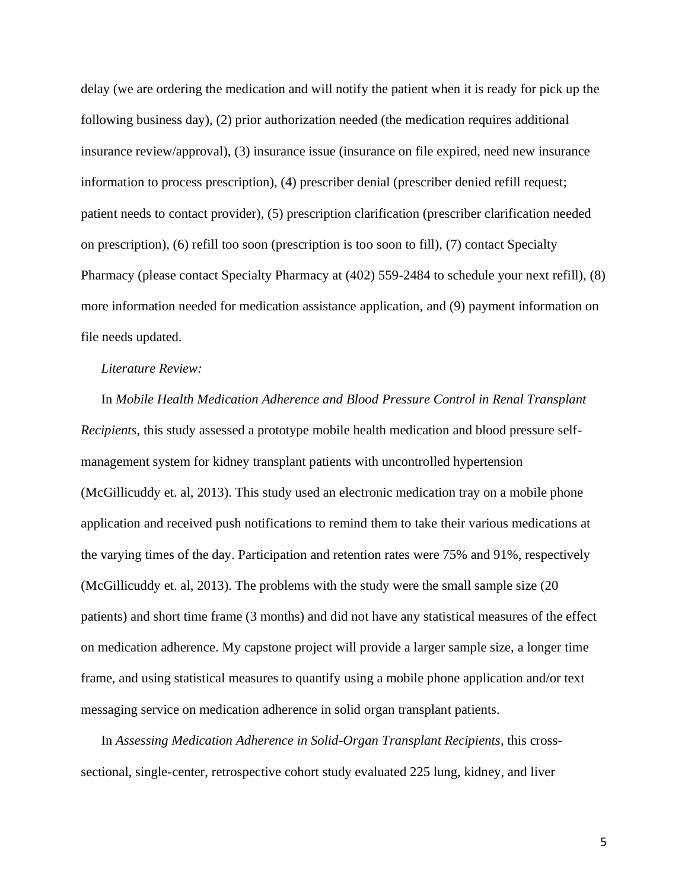delay (we are ordering the medication and will notify the patient when it is ready for pick up the following business day), (2) prior authorization needed (the medication requires additional insurance review/approval), (3) insurance issue (insurance on file expired, need new insurance information to process prescription), (4) prescriber denial (prescriber denied refill request; patient needs to contact provider), (5) prescription clarification (prescriber clarification needed on prescription), (6) refill too soon (prescription is too soon to fill), (7) contact Specialty Pharmacy (please contact Specialty Pharmacy at (402) 559-2484 to schedule your next refill), (8) more information needed for medication assistance application, and (9) payment information on file needs updated.

## *Literature Review:*

In *Mobile Health Medication Adherence and Blood Pressure Control in Renal Transplant Recipients*, this study assessed a prototype mobile health medication and blood pressure selfmanagement system for kidney transplant patients with uncontrolled hypertension (McGillicuddy et. al, 2013). This study used an electronic medication tray on a mobile phone application and received push notifications to remind them to take their various medications at the varying times of the day. Participation and retention rates were 75% and 91%, respectively (McGillicuddy et. al, 2013). The problems with the study were the small sample size (20 patients) and short time frame (3 months) and did not have any statistical measures of the effect on medication adherence. My capstone project will provide a larger sample size, a longer time frame, and using statistical measures to quantify using a mobile phone application and/or text messaging service on medication adherence in solid organ transplant patients.

In *Assessing Medication Adherence in Solid-Organ Transplant Recipients*, this crosssectional, single-center, retrospective cohort study evaluated 225 lung, kidney, and liver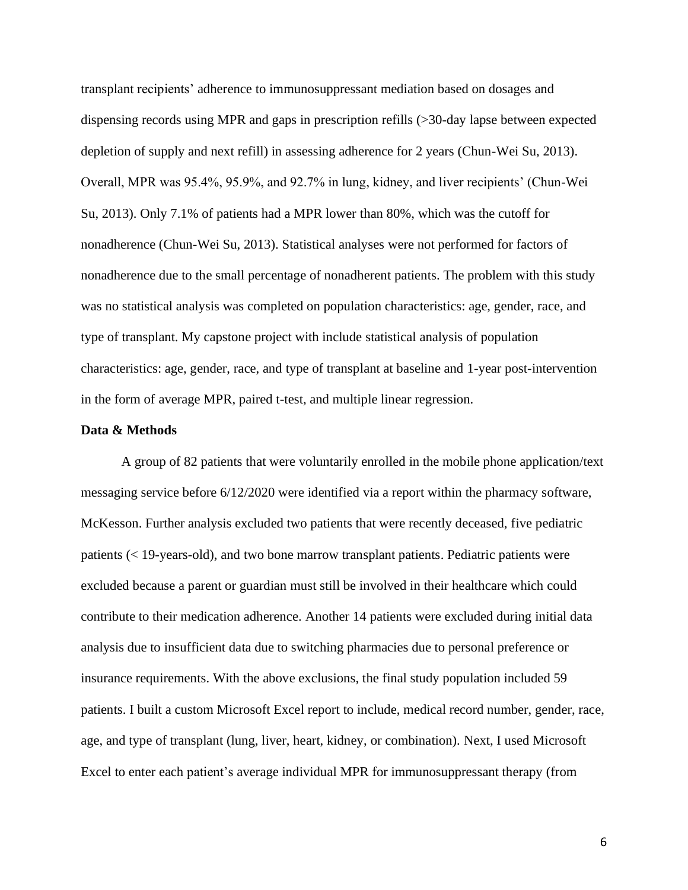transplant recipients' adherence to immunosuppressant mediation based on dosages and dispensing records using MPR and gaps in prescription refills (>30-day lapse between expected depletion of supply and next refill) in assessing adherence for 2 years (Chun-Wei Su, 2013). Overall, MPR was 95.4%, 95.9%, and 92.7% in lung, kidney, and liver recipients' (Chun-Wei Su, 2013). Only 7.1% of patients had a MPR lower than 80%, which was the cutoff for nonadherence (Chun-Wei Su, 2013). Statistical analyses were not performed for factors of nonadherence due to the small percentage of nonadherent patients. The problem with this study was no statistical analysis was completed on population characteristics: age, gender, race, and type of transplant. My capstone project with include statistical analysis of population characteristics: age, gender, race, and type of transplant at baseline and 1-year post-intervention in the form of average MPR, paired t-test, and multiple linear regression.

## **Data & Methods**

A group of 82 patients that were voluntarily enrolled in the mobile phone application/text messaging service before 6/12/2020 were identified via a report within the pharmacy software, McKesson. Further analysis excluded two patients that were recently deceased, five pediatric patients (< 19-years-old), and two bone marrow transplant patients. Pediatric patients were excluded because a parent or guardian must still be involved in their healthcare which could contribute to their medication adherence. Another 14 patients were excluded during initial data analysis due to insufficient data due to switching pharmacies due to personal preference or insurance requirements. With the above exclusions, the final study population included 59 patients. I built a custom Microsoft Excel report to include, medical record number, gender, race, age, and type of transplant (lung, liver, heart, kidney, or combination). Next, I used Microsoft Excel to enter each patient's average individual MPR for immunosuppressant therapy (from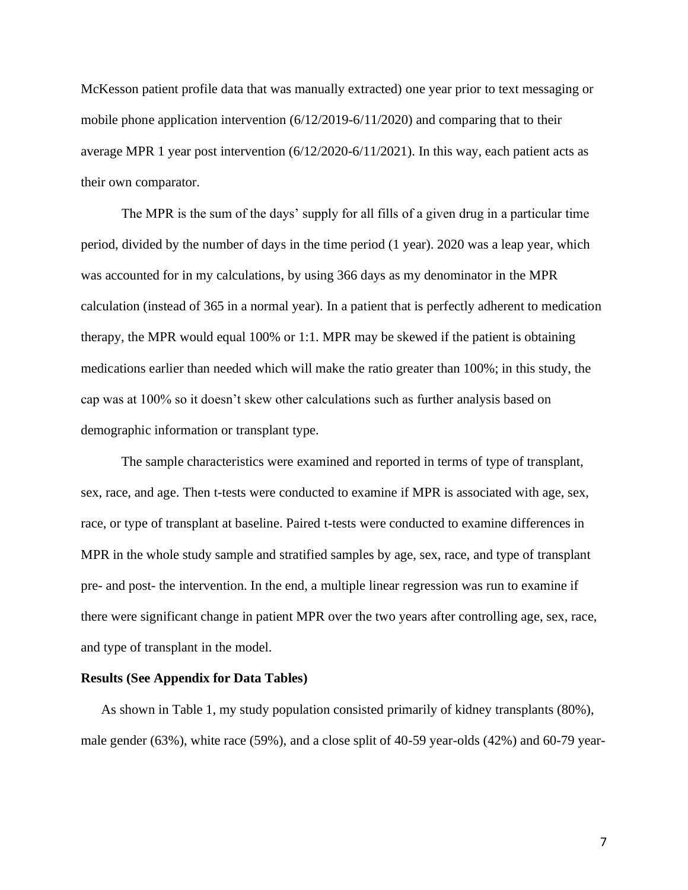McKesson patient profile data that was manually extracted) one year prior to text messaging or mobile phone application intervention (6/12/2019-6/11/2020) and comparing that to their average MPR 1 year post intervention (6/12/2020-6/11/2021). In this way, each patient acts as their own comparator.

The MPR is the sum of the days' supply for all fills of a given drug in a particular time period, divided by the number of days in the time period (1 year). 2020 was a leap year, which was accounted for in my calculations, by using 366 days as my denominator in the MPR calculation (instead of 365 in a normal year). In a patient that is perfectly adherent to medication therapy, the MPR would equal 100% or 1:1. MPR may be skewed if the patient is obtaining medications earlier than needed which will make the ratio greater than 100%; in this study, the cap was at 100% so it doesn't skew other calculations such as further analysis based on demographic information or transplant type.

The sample characteristics were examined and reported in terms of type of transplant, sex, race, and age. Then t-tests were conducted to examine if MPR is associated with age, sex, race, or type of transplant at baseline. Paired t-tests were conducted to examine differences in MPR in the whole study sample and stratified samples by age, sex, race, and type of transplant pre- and post- the intervention. In the end, a multiple linear regression was run to examine if there were significant change in patient MPR over the two years after controlling age, sex, race, and type of transplant in the model.

#### **Results (See Appendix for Data Tables)**

As shown in Table 1, my study population consisted primarily of kidney transplants (80%), male gender (63%), white race (59%), and a close split of 40-59 year-olds (42%) and 60-79 year-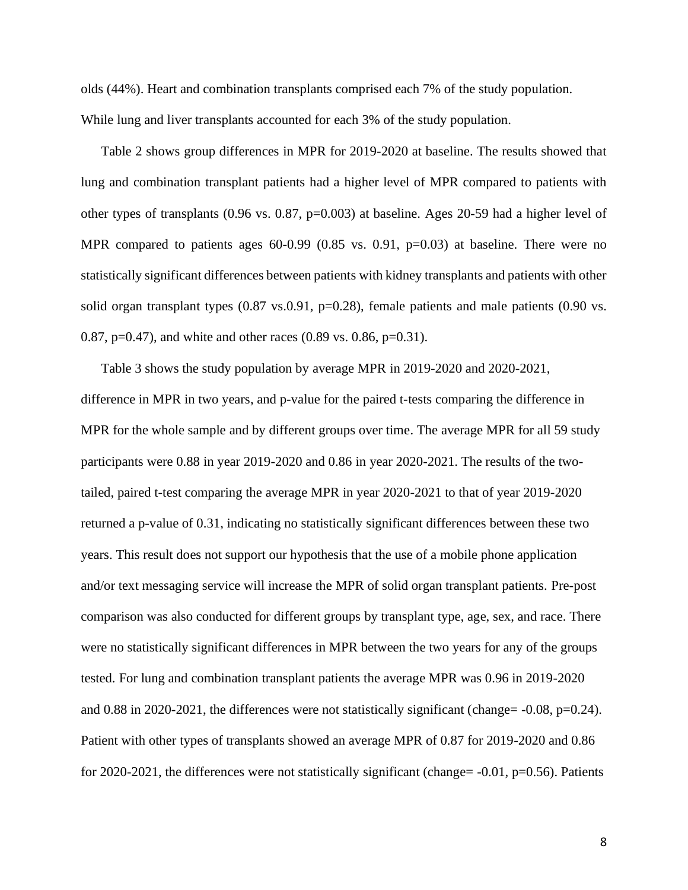olds (44%). Heart and combination transplants comprised each 7% of the study population.

While lung and liver transplants accounted for each 3% of the study population.

Table 2 shows group differences in MPR for 2019-2020 at baseline. The results showed that lung and combination transplant patients had a higher level of MPR compared to patients with other types of transplants (0.96 vs. 0.87, p=0.003) at baseline. Ages 20-59 had a higher level of MPR compared to patients ages 60-0.99 (0.85 vs. 0.91, p=0.03) at baseline. There were no statistically significant differences between patients with kidney transplants and patients with other solid organ transplant types (0.87 vs.0.91, p=0.28), female patients and male patients (0.90 vs. 0.87, p=0.47), and white and other races (0.89 vs. 0.86, p=0.31).

Table 3 shows the study population by average MPR in 2019-2020 and 2020-2021, difference in MPR in two years, and p-value for the paired t-tests comparing the difference in MPR for the whole sample and by different groups over time. The average MPR for all 59 study participants were 0.88 in year 2019-2020 and 0.86 in year 2020-2021. The results of the twotailed, paired t-test comparing the average MPR in year 2020-2021 to that of year 2019-2020 returned a p-value of 0.31, indicating no statistically significant differences between these two years. This result does not support our hypothesis that the use of a mobile phone application and/or text messaging service will increase the MPR of solid organ transplant patients. Pre-post comparison was also conducted for different groups by transplant type, age, sex, and race. There were no statistically significant differences in MPR between the two years for any of the groups tested. For lung and combination transplant patients the average MPR was 0.96 in 2019-2020 and  $0.88$  in  $2020-2021$ , the differences were not statistically significant (change=  $-0.08$ , p=0.24). Patient with other types of transplants showed an average MPR of 0.87 for 2019-2020 and 0.86 for 2020-2021, the differences were not statistically significant (change=  $-0.01$ , p=0.56). Patients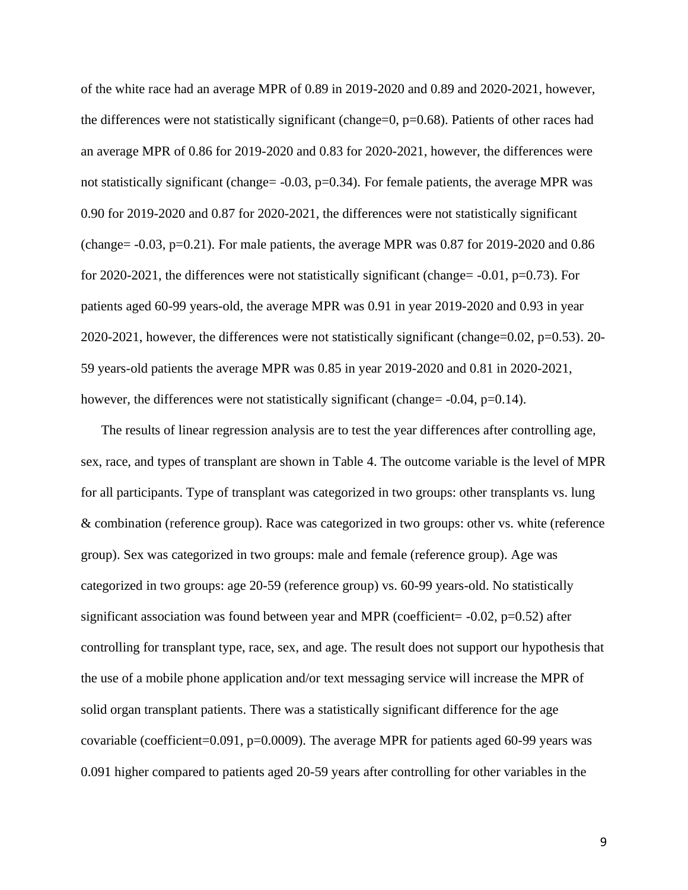of the white race had an average MPR of 0.89 in 2019-2020 and 0.89 and 2020-2021, however, the differences were not statistically significant (change=0,  $p=0.68$ ). Patients of other races had an average MPR of 0.86 for 2019-2020 and 0.83 for 2020-2021, however, the differences were not statistically significant (change= -0.03, p=0.34). For female patients, the average MPR was 0.90 for 2019-2020 and 0.87 for 2020-2021, the differences were not statistically significant (change= -0.03, p=0.21). For male patients, the average MPR was 0.87 for 2019-2020 and 0.86 for 2020-2021, the differences were not statistically significant (change=  $-0.01$ , p=0.73). For patients aged 60-99 years-old, the average MPR was 0.91 in year 2019-2020 and 0.93 in year 2020-2021, however, the differences were not statistically significant (change=0.02, p=0.53). 20- 59 years-old patients the average MPR was 0.85 in year 2019-2020 and 0.81 in 2020-2021, however, the differences were not statistically significant (change=  $-0.04$ , p=0.14).

The results of linear regression analysis are to test the year differences after controlling age, sex, race, and types of transplant are shown in Table 4. The outcome variable is the level of MPR for all participants. Type of transplant was categorized in two groups: other transplants vs. lung & combination (reference group). Race was categorized in two groups: other vs. white (reference group). Sex was categorized in two groups: male and female (reference group). Age was categorized in two groups: age 20-59 (reference group) vs. 60-99 years-old. No statistically significant association was found between year and MPR (coefficient=  $-0.02$ , p=0.52) after controlling for transplant type, race, sex, and age. The result does not support our hypothesis that the use of a mobile phone application and/or text messaging service will increase the MPR of solid organ transplant patients. There was a statistically significant difference for the age covariable (coefficient=0.091, p=0.0009). The average MPR for patients aged 60-99 years was 0.091 higher compared to patients aged 20-59 years after controlling for other variables in the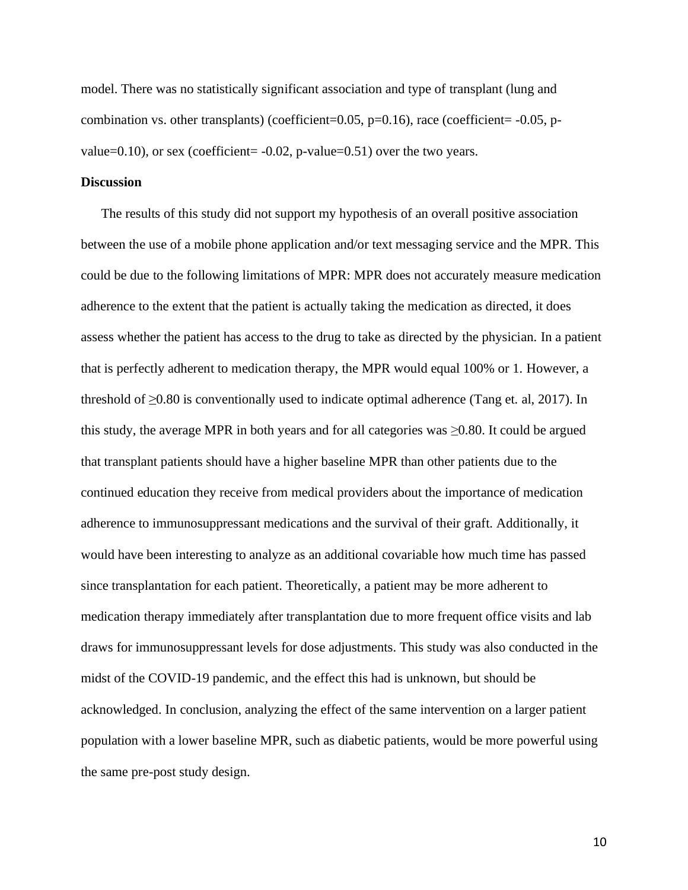model. There was no statistically significant association and type of transplant (lung and combination vs. other transplants) (coefficient=0.05, p=0.16), race (coefficient= -0.05, pvalue=0.10), or sex (coefficient=  $-0.02$ , p-value=0.51) over the two years.

# **Discussion**

The results of this study did not support my hypothesis of an overall positive association between the use of a mobile phone application and/or text messaging service and the MPR. This could be due to the following limitations of MPR: MPR does not accurately measure medication adherence to the extent that the patient is actually taking the medication as directed, it does assess whether the patient has access to the drug to take as directed by the physician. In a patient that is perfectly adherent to medication therapy, the MPR would equal 100% or 1. However, a threshold of  $\geq 0.80$  is conventionally used to indicate optimal adherence (Tang et. al, 2017). In this study, the average MPR in both years and for all categories was  $\geq 0.80$ . It could be argued that transplant patients should have a higher baseline MPR than other patients due to the continued education they receive from medical providers about the importance of medication adherence to immunosuppressant medications and the survival of their graft. Additionally, it would have been interesting to analyze as an additional covariable how much time has passed since transplantation for each patient. Theoretically, a patient may be more adherent to medication therapy immediately after transplantation due to more frequent office visits and lab draws for immunosuppressant levels for dose adjustments. This study was also conducted in the midst of the COVID-19 pandemic, and the effect this had is unknown, but should be acknowledged. In conclusion, analyzing the effect of the same intervention on a larger patient population with a lower baseline MPR, such as diabetic patients, would be more powerful using the same pre-post study design.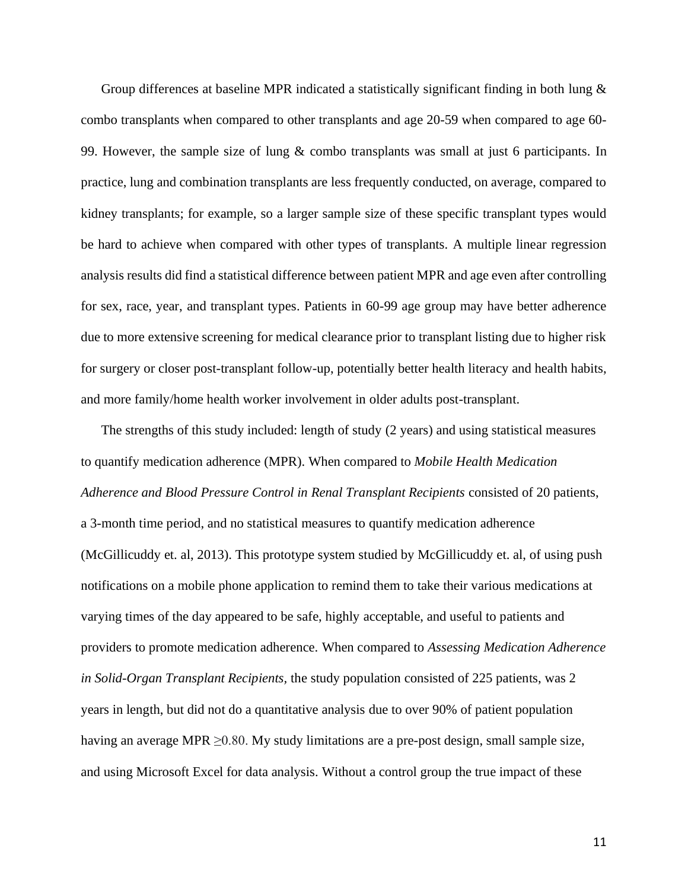Group differences at baseline MPR indicated a statistically significant finding in both lung  $\&$ combo transplants when compared to other transplants and age 20-59 when compared to age 60- 99. However, the sample size of lung & combo transplants was small at just 6 participants. In practice, lung and combination transplants are less frequently conducted, on average, compared to kidney transplants; for example, so a larger sample size of these specific transplant types would be hard to achieve when compared with other types of transplants. A multiple linear regression analysis results did find a statistical difference between patient MPR and age even after controlling for sex, race, year, and transplant types. Patients in 60-99 age group may have better adherence due to more extensive screening for medical clearance prior to transplant listing due to higher risk for surgery or closer post-transplant follow-up, potentially better health literacy and health habits, and more family/home health worker involvement in older adults post-transplant.

The strengths of this study included: length of study (2 years) and using statistical measures to quantify medication adherence (MPR). When compared to *Mobile Health Medication Adherence and Blood Pressure Control in Renal Transplant Recipients* consisted of 20 patients, a 3-month time period, and no statistical measures to quantify medication adherence (McGillicuddy et. al, 2013). This prototype system studied by McGillicuddy et. al, of using push notifications on a mobile phone application to remind them to take their various medications at varying times of the day appeared to be safe, highly acceptable, and useful to patients and providers to promote medication adherence. When compared to *Assessing Medication Adherence in Solid-Organ Transplant Recipients,* the study population consisted of 225 patients, was 2 years in length, but did not do a quantitative analysis due to over 90% of patient population having an average MPR ≥0.80. My study limitations are a pre-post design, small sample size, and using Microsoft Excel for data analysis. Without a control group the true impact of these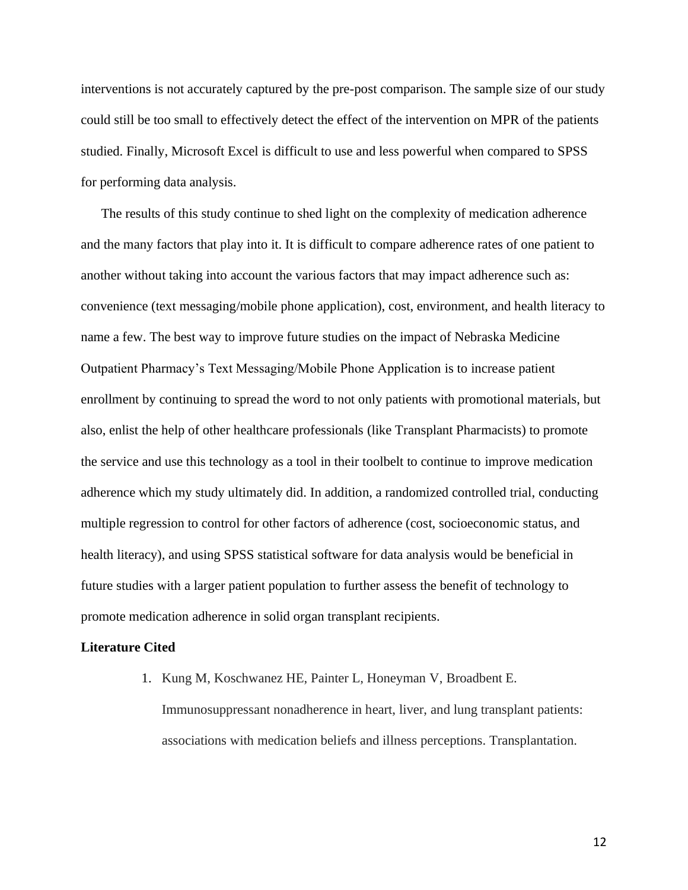interventions is not accurately captured by the pre-post comparison. The sample size of our study could still be too small to effectively detect the effect of the intervention on MPR of the patients studied. Finally, Microsoft Excel is difficult to use and less powerful when compared to SPSS for performing data analysis.

The results of this study continue to shed light on the complexity of medication adherence and the many factors that play into it. It is difficult to compare adherence rates of one patient to another without taking into account the various factors that may impact adherence such as: convenience (text messaging/mobile phone application), cost, environment, and health literacy to name a few. The best way to improve future studies on the impact of Nebraska Medicine Outpatient Pharmacy's Text Messaging/Mobile Phone Application is to increase patient enrollment by continuing to spread the word to not only patients with promotional materials, but also, enlist the help of other healthcare professionals (like Transplant Pharmacists) to promote the service and use this technology as a tool in their toolbelt to continue to improve medication adherence which my study ultimately did. In addition, a randomized controlled trial, conducting multiple regression to control for other factors of adherence (cost, socioeconomic status, and health literacy), and using SPSS statistical software for data analysis would be beneficial in future studies with a larger patient population to further assess the benefit of technology to promote medication adherence in solid organ transplant recipients.

### **Literature Cited**

1. Kung M, Koschwanez HE, Painter L, Honeyman V, Broadbent E. Immunosuppressant nonadherence in heart, liver, and lung transplant patients: associations with medication beliefs and illness perceptions. Transplantation.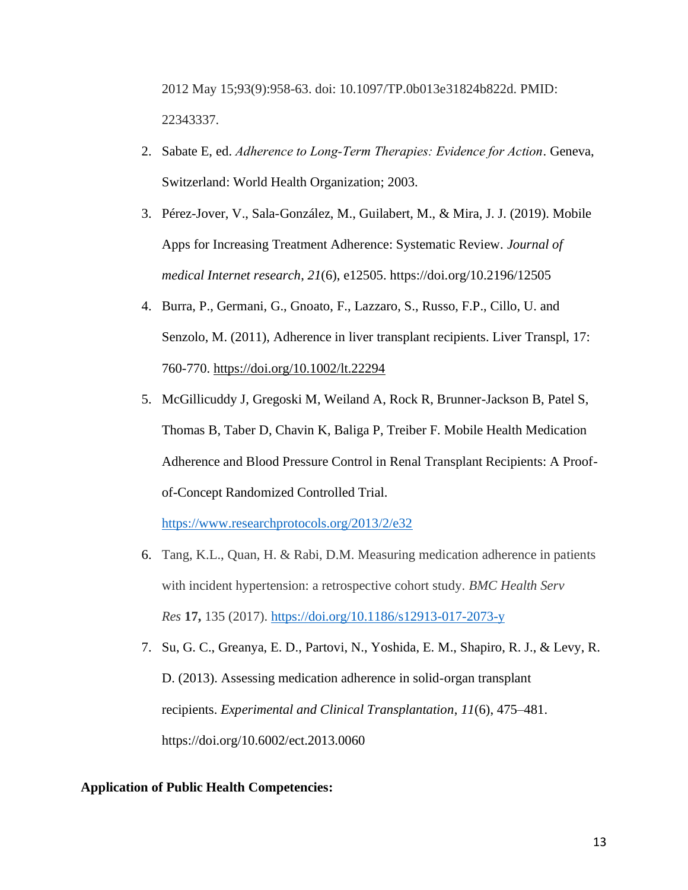2012 May 15;93(9):958-63. doi: 10.1097/TP.0b013e31824b822d. PMID: 22343337.

- 2. Sabate E, ed. *Adherence to Long‐Term Therapies: Evidence for Action*. Geneva, Switzerland: World Health Organization; 2003.
- 3. Pérez-Jover, V., Sala-González, M., Guilabert, M., & Mira, J. J. (2019). Mobile Apps for Increasing Treatment Adherence: Systematic Review. *Journal of medical Internet research*, *21*(6), e12505. https://doi.org/10.2196/12505
- 4. Burra, P., Germani, G., Gnoato, F., Lazzaro, S., Russo, F.P., Cillo, U. and Senzolo, M. (2011), Adherence in liver transplant recipients. Liver Transpl, 17: 760-770. <https://doi.org/10.1002/lt.22294>
- 5. McGillicuddy J, Gregoski M, Weiland A, Rock R, Brunner-Jackson B, Patel S, Thomas B, Taber D, Chavin K, Baliga P, Treiber F. Mobile Health Medication Adherence and Blood Pressure Control in Renal Transplant Recipients: A Proofof-Concept Randomized Controlled Trial.

<https://www.researchprotocols.org/2013/2/e32>

- 6. Tang, K.L., Quan, H. & Rabi, D.M. Measuring medication adherence in patients with incident hypertension: a retrospective cohort study. *BMC Health Serv Res* **17,** 135 (2017).<https://doi.org/10.1186/s12913-017-2073-y>
- 7. Su, G. C., Greanya, E. D., Partovi, N., Yoshida, E. M., Shapiro, R. J., & Levy, R. D. (2013). Assessing medication adherence in solid-organ transplant recipients. *Experimental and Clinical Transplantation*, *11*(6), 475–481. https://doi.org/10.6002/ect.2013.0060

# **Application of Public Health Competencies:**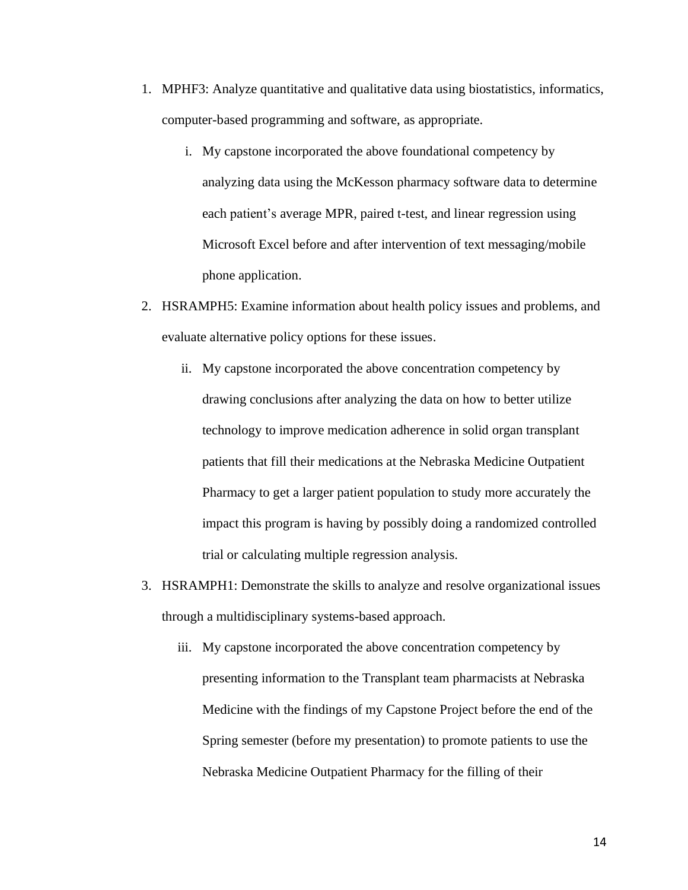- 1. MPHF3: Analyze quantitative and qualitative data using biostatistics, informatics, computer-based programming and software, as appropriate.
	- i. My capstone incorporated the above foundational competency by analyzing data using the McKesson pharmacy software data to determine each patient's average MPR, paired t-test, and linear regression using Microsoft Excel before and after intervention of text messaging/mobile phone application.
- 2. HSRAMPH5: Examine information about health policy issues and problems, and evaluate alternative policy options for these issues.
	- ii. My capstone incorporated the above concentration competency by drawing conclusions after analyzing the data on how to better utilize technology to improve medication adherence in solid organ transplant patients that fill their medications at the Nebraska Medicine Outpatient Pharmacy to get a larger patient population to study more accurately the impact this program is having by possibly doing a randomized controlled trial or calculating multiple regression analysis.
- 3. HSRAMPH1: Demonstrate the skills to analyze and resolve organizational issues through a multidisciplinary systems-based approach.
	- iii. My capstone incorporated the above concentration competency by presenting information to the Transplant team pharmacists at Nebraska Medicine with the findings of my Capstone Project before the end of the Spring semester (before my presentation) to promote patients to use the Nebraska Medicine Outpatient Pharmacy for the filling of their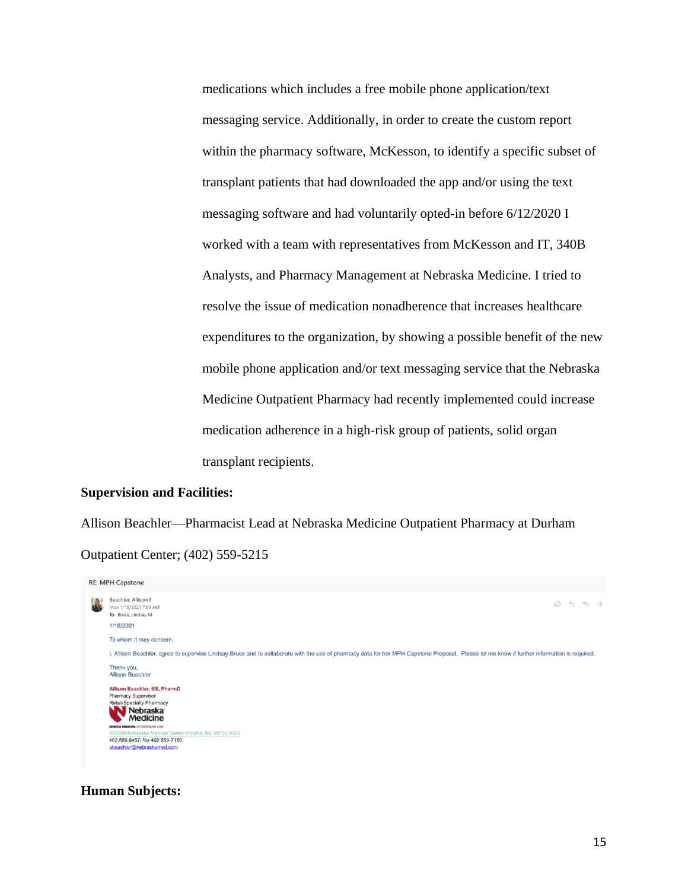medications which includes a free mobile phone application/text messaging service. Additionally, in order to create the custom report within the pharmacy software, McKesson, to identify a specific subset of transplant patients that had downloaded the app and/or using the text messaging software and had voluntarily opted-in before 6/12/2020 I worked with a team with representatives from McKesson and IT, 340B Analysts, and Pharmacy Management at Nebraska Medicine. I tried to resolve the issue of medication nonadherence that increases healthcare expenditures to the organization, by showing a possible benefit of the new mobile phone application and/or text messaging service that the Nebraska Medicine Outpatient Pharmacy had recently implemented could increase medication adherence in a high-risk group of patients, solid organ transplant recipients.

# **Supervision and Facilities:**

Allison Beachler—Pharmacist Lead at Nebraska Medicine Outpatient Pharmacy at Durham Outpatient Center; (402) 559-5215



# **Human Subjects:**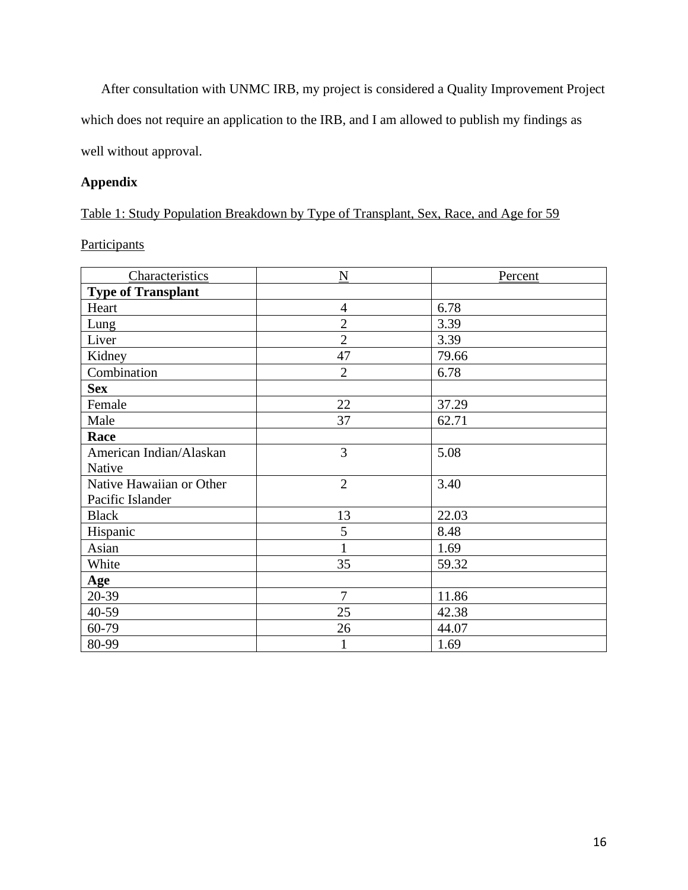After consultation with UNMC IRB, my project is considered a Quality Improvement Project which does not require an application to the IRB, and I am allowed to publish my findings as well without approval.

# **Appendix**

# Table 1: Study Population Breakdown by Type of Transplant, Sex, Race, and Age for 59

| Characteristics           | $\mathbf N$    | Percent |
|---------------------------|----------------|---------|
| <b>Type of Transplant</b> |                |         |
| Heart                     | $\overline{4}$ | 6.78    |
| Lung                      | $\sqrt{2}$     | 3.39    |
| Liver                     | $\overline{2}$ | 3.39    |
| Kidney                    | 47             | 79.66   |
| Combination               | $\overline{2}$ | 6.78    |
| <b>Sex</b>                |                |         |
| Female                    | 22             | 37.29   |
| Male                      | 37             | 62.71   |
| Race                      |                |         |
| American Indian/Alaskan   | 3              | 5.08    |
| Native                    |                |         |
| Native Hawaiian or Other  | $\overline{2}$ | 3.40    |
| Pacific Islander          |                |         |
| <b>Black</b>              | 13             | 22.03   |
| Hispanic                  | 5              | 8.48    |
| Asian                     |                | 1.69    |
| White                     | 35             | 59.32   |
| Age                       |                |         |
| 20-39                     | $\overline{7}$ | 11.86   |
| 40-59                     | 25             | 42.38   |
| 60-79                     | 26             | 44.07   |
| 80-99                     |                | 1.69    |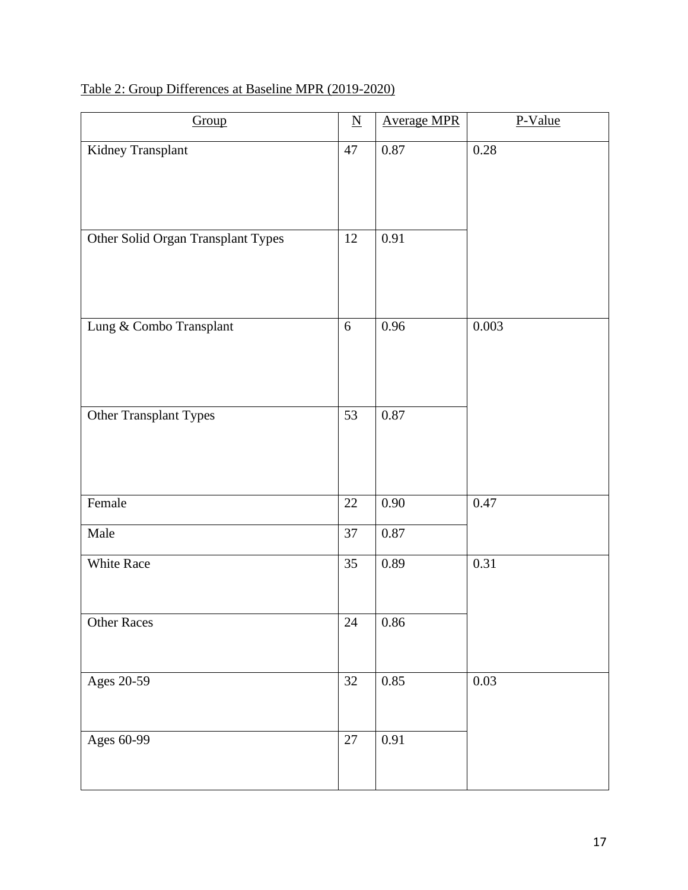| Group                              | $\underline{\mathbf{N}}$ | <b>Average MPR</b> | P-Value  |
|------------------------------------|--------------------------|--------------------|----------|
| Kidney Transplant                  | 47                       | 0.87               | $0.28\,$ |
| Other Solid Organ Transplant Types | $12\,$                   | 0.91               |          |
| Lung & Combo Transplant            | 6                        | 0.96               | 0.003    |
| Other Transplant Types             | 53                       | 0.87               |          |
| Female                             | $22\,$                   | 0.90               | 0.47     |
| Male                               | 37                       | $0.87\,$           |          |
| White Race                         | 35                       | 0.89               | 0.31     |
| <b>Other Races</b>                 | $24\,$                   | $0.86\,$           |          |
| Ages 20-59                         | 32                       | 0.85               | 0.03     |
| Ages 60-99                         | $27\,$                   | 0.91               |          |

# Table 2: Group Differences at Baseline MPR (2019-2020)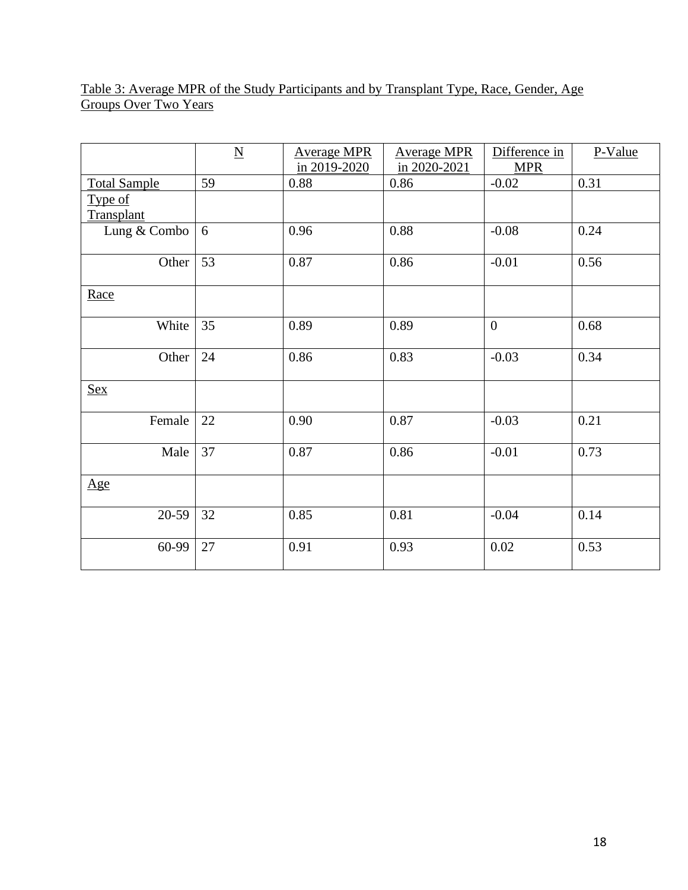# Table 3: Average MPR of the Study Participants and by Transplant Type, Race, Gender, Age Groups Over Two Years

|                     | $\underline{\mathbf{N}}$ | <b>Average MPR</b> | <b>Average MPR</b> | Difference in  | P-Value |
|---------------------|--------------------------|--------------------|--------------------|----------------|---------|
|                     |                          | in 2019-2020       | in 2020-2021       | <b>MPR</b>     |         |
| <b>Total Sample</b> | 59                       | 0.88               | 0.86               | $-0.02$        | 0.31    |
| Type of             |                          |                    |                    |                |         |
| Transplant          |                          |                    |                    |                |         |
| Lung & Combo        | 6                        | 0.96               | 0.88               | $-0.08$        | 0.24    |
| Other               | 53                       | 0.87               | 0.86               | $-0.01$        | 0.56    |
| Race                |                          |                    |                    |                |         |
| White               | 35                       | 0.89               | 0.89               | $\overline{0}$ | 0.68    |
| Other               | 24                       | 0.86               | 0.83               | $-0.03$        | 0.34    |
| <b>Sex</b>          |                          |                    |                    |                |         |
| Female              | 22                       | 0.90               | 0.87               | $-0.03$        | 0.21    |
| Male                | 37                       | 0.87               | 0.86               | $-0.01$        | 0.73    |
| $\mathbf{Age}$      |                          |                    |                    |                |         |
| 20-59               | 32                       | 0.85               | 0.81               | $-0.04$        | 0.14    |
| 60-99               | 27                       | 0.91               | 0.93               | 0.02           | 0.53    |